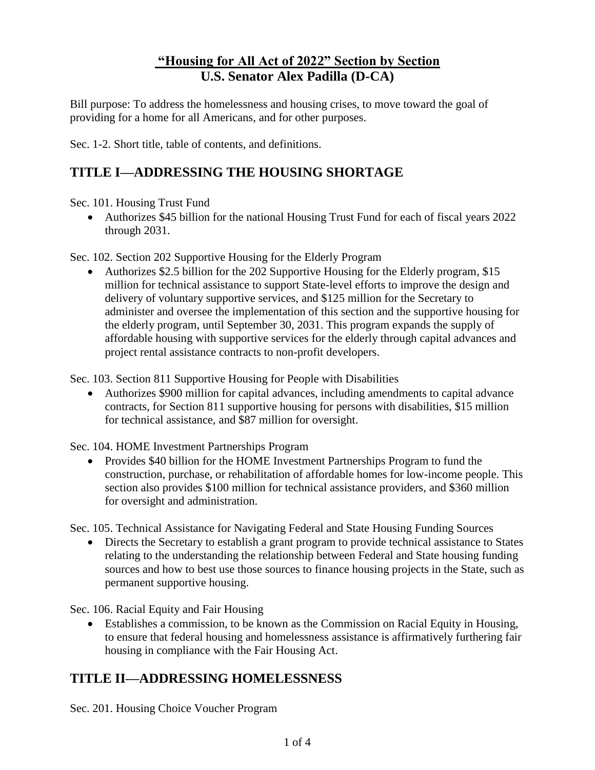## **"Housing for All Act of 2022" Section by Section U.S. Senator Alex Padilla (D-CA)**

Bill purpose: To address the homelessness and housing crises, to move toward the goal of providing for a home for all Americans, and for other purposes.

Sec. 1-2. Short title, table of contents, and definitions.

## **TITLE I—ADDRESSING THE HOUSING SHORTAGE**

Sec. 101. Housing Trust Fund

• Authorizes \$45 billion for the national Housing Trust Fund for each of fiscal years 2022 through 2031.

Sec. 102. Section 202 Supportive Housing for the Elderly Program

• Authorizes \$2.5 billion for the 202 Supportive Housing for the Elderly program, \$15 million for technical assistance to support State-level efforts to improve the design and delivery of voluntary supportive services, and \$125 million for the Secretary to administer and oversee the implementation of this section and the supportive housing for the elderly program, until September 30, 2031. This program expands the supply of affordable housing with supportive services for the elderly through capital advances and project rental assistance contracts to non-profit developers.

Sec. 103. Section 811 Supportive Housing for People with Disabilities

• Authorizes \$900 million for capital advances, including amendments to capital advance contracts, for Section 811 supportive housing for persons with disabilities, \$15 million for technical assistance, and \$87 million for oversight.

Sec. 104. HOME Investment Partnerships Program

• Provides \$40 billion for the HOME Investment Partnerships Program to fund the construction, purchase, or rehabilitation of affordable homes for low-income people. This section also provides \$100 million for technical assistance providers, and \$360 million for oversight and administration.

Sec. 105. Technical Assistance for Navigating Federal and State Housing Funding Sources

• Directs the Secretary to establish a grant program to provide technical assistance to States relating to the understanding the relationship between Federal and State housing funding sources and how to best use those sources to finance housing projects in the State, such as permanent supportive housing.

Sec. 106. Racial Equity and Fair Housing

• Establishes a commission, to be known as the Commission on Racial Equity in Housing, to ensure that federal housing and homelessness assistance is affirmatively furthering fair housing in compliance with the Fair Housing Act.

## **TITLE II—ADDRESSING HOMELESSNESS**

Sec. 201. Housing Choice Voucher Program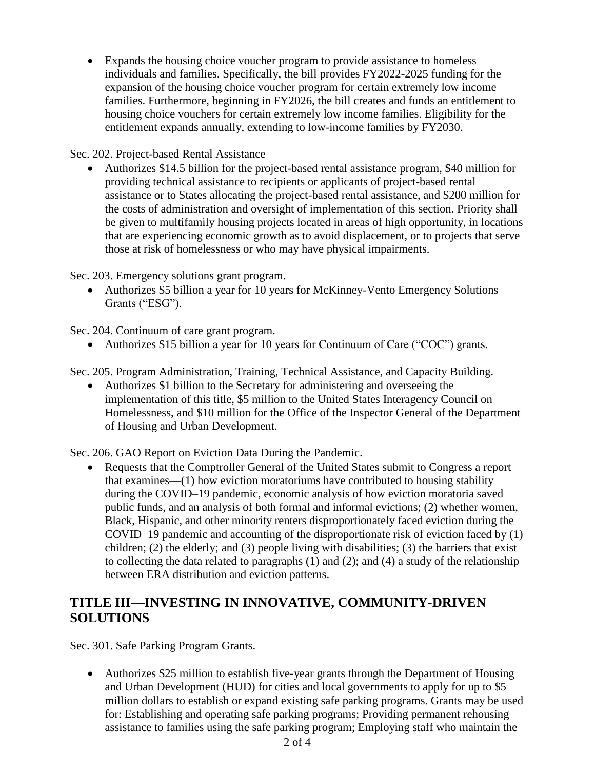• Expands the housing choice voucher program to provide assistance to homeless individuals and families. Specifically, the bill provides FY2022-2025 funding for the expansion of the housing choice voucher program for certain extremely low income families. Furthermore, beginning in FY2026, the bill creates and funds an entitlement to housing choice vouchers for certain extremely low income families. Eligibility for the entitlement expands annually, extending to low-income families by FY2030.

Sec. 202. Project-based Rental Assistance

• Authorizes \$14.5 billion for the project-based rental assistance program, \$40 million for providing technical assistance to recipients or applicants of project-based rental assistance or to States allocating the project-based rental assistance, and \$200 million for the costs of administration and oversight of implementation of this section. Priority shall be given to multifamily housing projects located in areas of high opportunity, in locations that are experiencing economic growth as to avoid displacement, or to projects that serve those at risk of homelessness or who may have physical impairments.

Sec. 203. Emergency solutions grant program.

• Authorizes \$5 billion a year for 10 years for McKinney-Vento Emergency Solutions Grants ("ESG").

Sec. 204. Continuum of care grant program.

• Authorizes \$15 billion a year for 10 years for Continuum of Care ("COC") grants.

Sec. 205. Program Administration, Training, Technical Assistance, and Capacity Building.

• Authorizes \$1 billion to the Secretary for administering and overseeing the implementation of this title, \$5 million to the United States Interagency Council on Homelessness, and \$10 million for the Office of the Inspector General of the Department of Housing and Urban Development.

Sec. 206. GAO Report on Eviction Data During the Pandemic.

• Requests that the Comptroller General of the United States submit to Congress a report that examines—(1) how eviction moratoriums have contributed to housing stability during the COVID–19 pandemic, economic analysis of how eviction moratoria saved public funds, and an analysis of both formal and informal evictions; (2) whether women, Black, Hispanic, and other minority renters disproportionately faced eviction during the COVID–19 pandemic and accounting of the disproportionate risk of eviction faced by (1) children; (2) the elderly; and (3) people living with disabilities; (3) the barriers that exist to collecting the data related to paragraphs (1) and (2); and (4) a study of the relationship between ERA distribution and eviction patterns.

## **TITLE III—INVESTING IN INNOVATIVE, COMMUNITY-DRIVEN SOLUTIONS**

Sec. 301. Safe Parking Program Grants.

• Authorizes \$25 million to establish five-year grants through the Department of Housing and Urban Development (HUD) for cities and local governments to apply for up to \$5 million dollars to establish or expand existing safe parking programs. Grants may be used for: Establishing and operating safe parking programs; Providing permanent rehousing assistance to families using the safe parking program; Employing staff who maintain the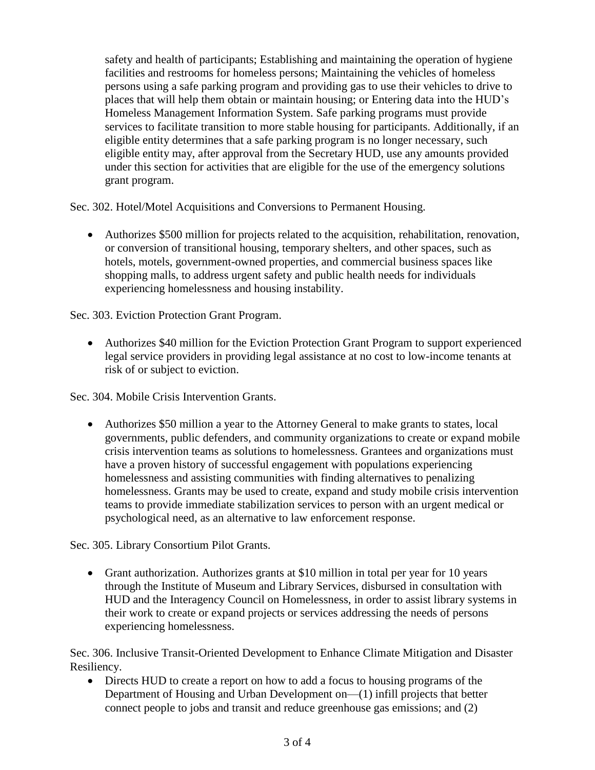safety and health of participants; Establishing and maintaining the operation of hygiene facilities and restrooms for homeless persons; Maintaining the vehicles of homeless persons using a safe parking program and providing gas to use their vehicles to drive to places that will help them obtain or maintain housing; or Entering data into the HUD's Homeless Management Information System. Safe parking programs must provide services to facilitate transition to more stable housing for participants. Additionally, if an eligible entity determines that a safe parking program is no longer necessary, such eligible entity may, after approval from the Secretary HUD, use any amounts provided under this section for activities that are eligible for the use of the emergency solutions grant program.

Sec. 302. Hotel/Motel Acquisitions and Conversions to Permanent Housing.

• Authorizes \$500 million for projects related to the acquisition, rehabilitation, renovation, or conversion of transitional housing, temporary shelters, and other spaces, such as hotels, motels, government-owned properties, and commercial business spaces like shopping malls, to address urgent safety and public health needs for individuals experiencing homelessness and housing instability.

Sec. 303. Eviction Protection Grant Program.

• Authorizes \$40 million for the Eviction Protection Grant Program to support experienced legal service providers in providing legal assistance at no cost to low-income tenants at risk of or subject to eviction.

Sec. 304. Mobile Crisis Intervention Grants.

• Authorizes \$50 million a year to the Attorney General to make grants to states, local governments, public defenders, and community organizations to create or expand mobile crisis intervention teams as solutions to homelessness. Grantees and organizations must have a proven history of successful engagement with populations experiencing homelessness and assisting communities with finding alternatives to penalizing homelessness. Grants may be used to create, expand and study mobile crisis intervention teams to provide immediate stabilization services to person with an urgent medical or psychological need, as an alternative to law enforcement response.

Sec. 305. Library Consortium Pilot Grants.

• Grant authorization. Authorizes grants at \$10 million in total per year for 10 years through the Institute of Museum and Library Services, disbursed in consultation with HUD and the Interagency Council on Homelessness, in order to assist library systems in their work to create or expand projects or services addressing the needs of persons experiencing homelessness.

Sec. 306. Inclusive Transit-Oriented Development to Enhance Climate Mitigation and Disaster Resiliency.

• Directs HUD to create a report on how to add a focus to housing programs of the Department of Housing and Urban Development on—(1) infill projects that better connect people to jobs and transit and reduce greenhouse gas emissions; and (2)